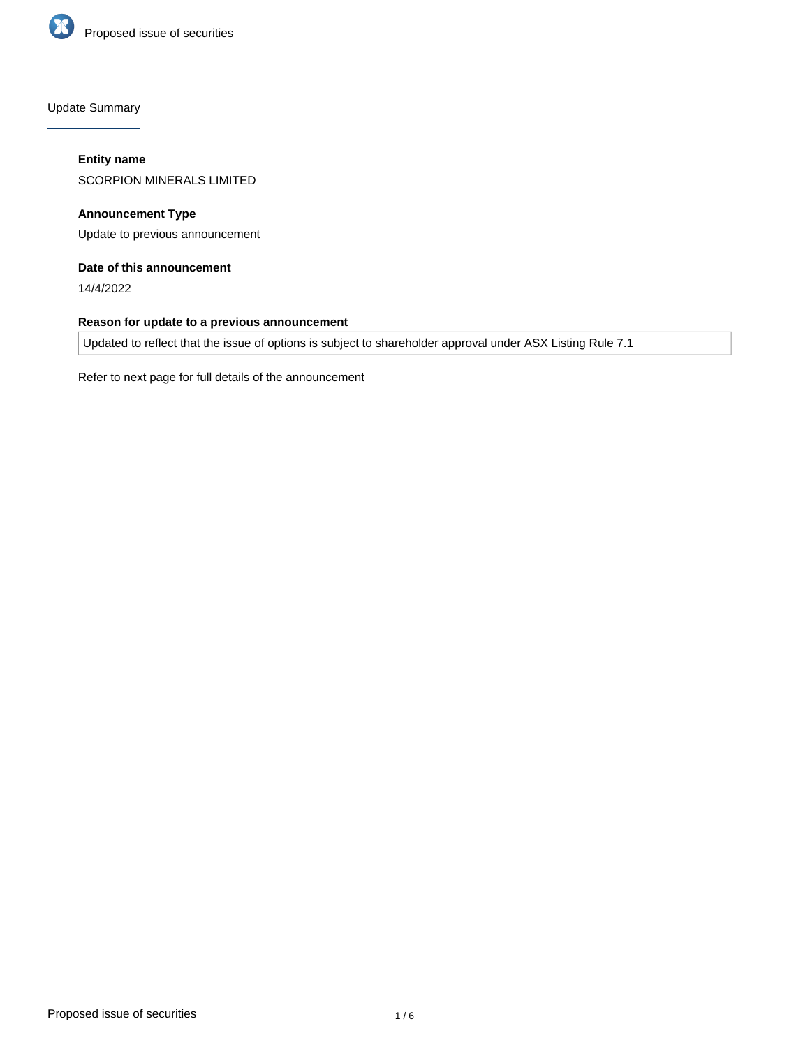

Update Summary

# **Entity name**

SCORPION MINERALS LIMITED

**Announcement Type** Update to previous announcement

# **Date of this announcement**

14/4/2022

# **Reason for update to a previous announcement**

Updated to reflect that the issue of options is subject to shareholder approval under ASX Listing Rule 7.1

Refer to next page for full details of the announcement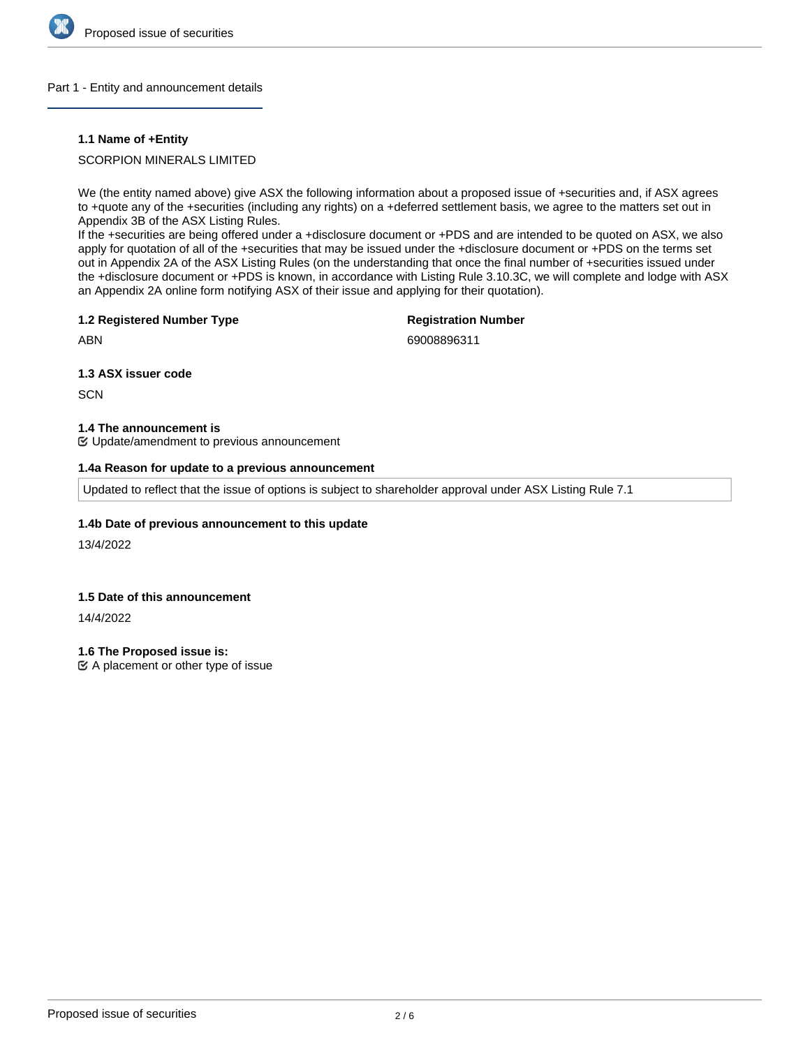

### Part 1 - Entity and announcement details

# **1.1 Name of +Entity**

# SCORPION MINERALS LIMITED

We (the entity named above) give ASX the following information about a proposed issue of +securities and, if ASX agrees to +quote any of the +securities (including any rights) on a +deferred settlement basis, we agree to the matters set out in Appendix 3B of the ASX Listing Rules.

If the +securities are being offered under a +disclosure document or +PDS and are intended to be quoted on ASX, we also apply for quotation of all of the +securities that may be issued under the +disclosure document or +PDS on the terms set out in Appendix 2A of the ASX Listing Rules (on the understanding that once the final number of +securities issued under the +disclosure document or +PDS is known, in accordance with Listing Rule 3.10.3C, we will complete and lodge with ASX an Appendix 2A online form notifying ASX of their issue and applying for their quotation).

### **1.2 Registered Number Type**

# **Registration Number**

ABN

69008896311

**1.3 ASX issuer code**

**SCN** 

### **1.4 The announcement is**

Update/amendment to previous announcement

## **1.4a Reason for update to a previous announcement**

Updated to reflect that the issue of options is subject to shareholder approval under ASX Listing Rule 7.1

# **1.4b Date of previous announcement to this update**

13/4/2022

# **1.5 Date of this announcement**

14/4/2022

**1.6 The Proposed issue is:**

 $\mathfrak{C}$  A placement or other type of issue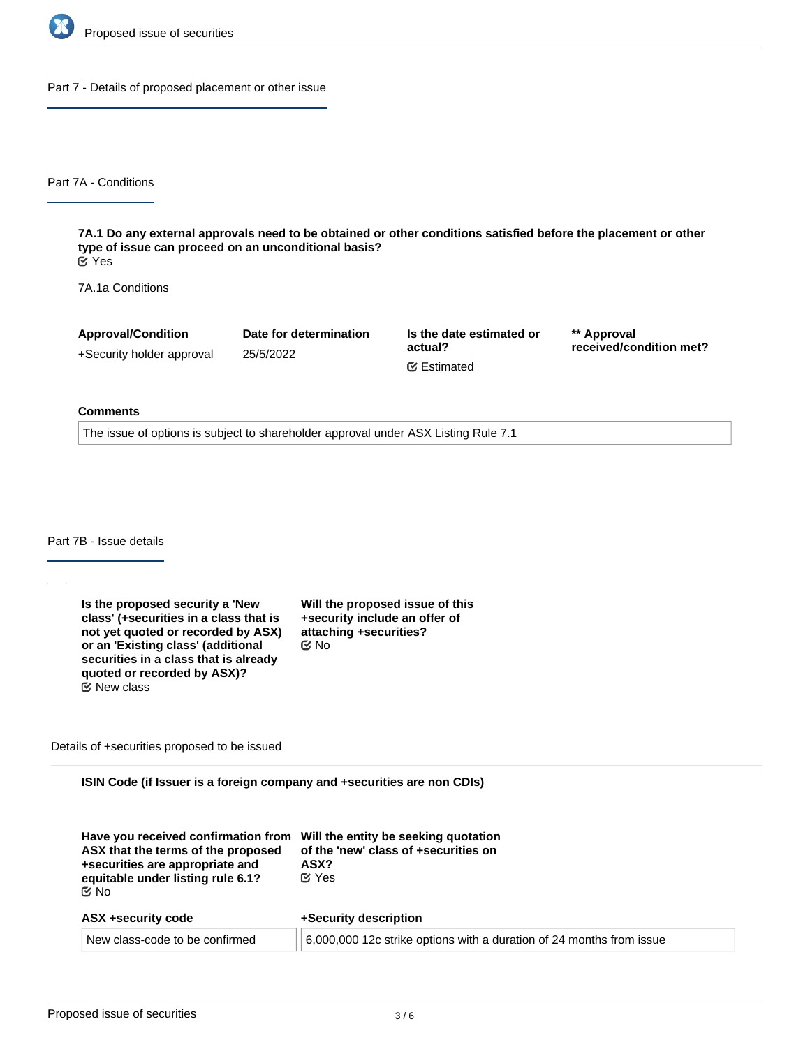

Part 7 - Details of proposed placement or other issue

Part 7A - Conditions

**7A.1 Do any external approvals need to be obtained or other conditions satisfied before the placement or other type of issue can proceed on an unconditional basis?** Yes

7A.1a Conditions

**Approval/Condition** +Security holder approval **Date for determination** 25/5/2022

**Is the date estimated or actual?** Estimated

**\*\* Approval received/condition met?**

#### **Comments**

The issue of options is subject to shareholder approval under ASX Listing Rule 7.1

Part 7B - Issue details

**Is the proposed security a 'New class' (+securities in a class that is not yet quoted or recorded by ASX) or an 'Existing class' (additional securities in a class that is already quoted or recorded by ASX)?** No New class

**Will the proposed issue of this +security include an offer of attaching +securities?**

Details of +securities proposed to be issued

**ISIN Code (if Issuer is a foreign company and +securities are non CDIs)**

| Have you received confirmation from<br>ASX that the terms of the proposed<br>+securities are appropriate and<br>equitable under listing rule 6.1?<br>C⁄No | Will the entity be seeking quotation<br>of the 'new' class of +securities on<br>ASX?<br>$\alpha$ Yes |
|-----------------------------------------------------------------------------------------------------------------------------------------------------------|------------------------------------------------------------------------------------------------------|
| ASX +security code                                                                                                                                        | +Security description                                                                                |
| New class-code to be confirmed                                                                                                                            | 6,000,000 12c strike options with a duration of 24 months from issue                                 |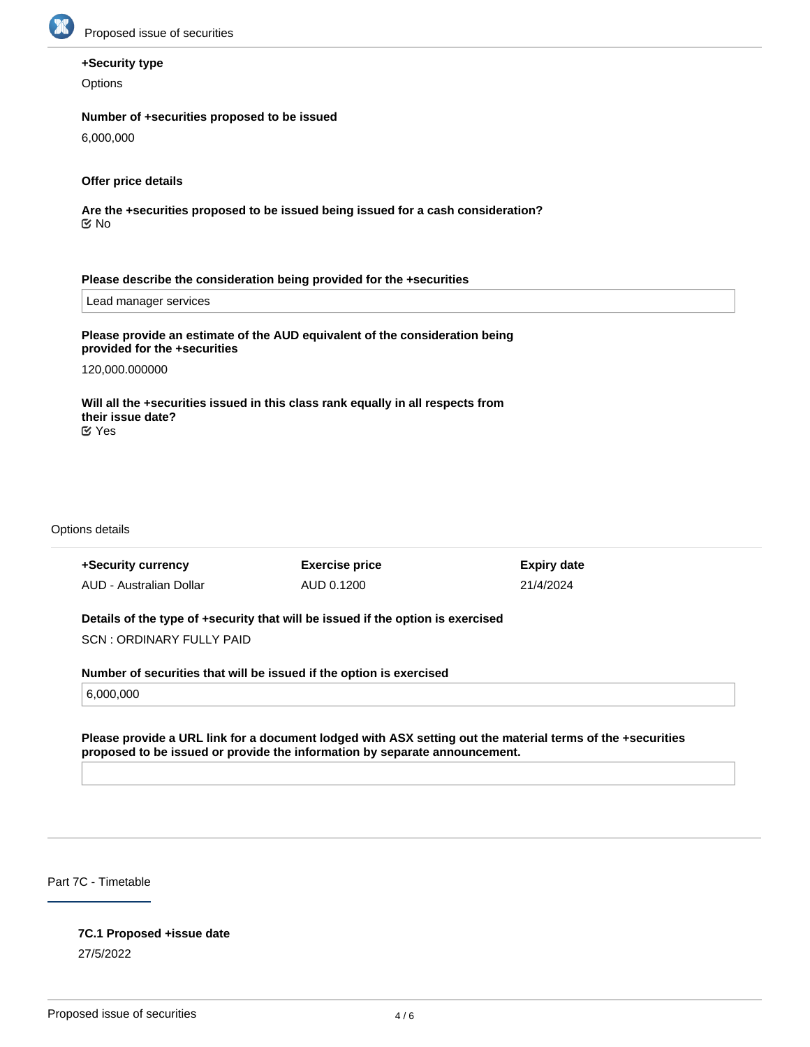

# **+Security type**

**Options** 

# **Number of +securities proposed to be issued**

6,000,000

# **Offer price details**

**Are the +securities proposed to be issued being issued for a cash consideration?** No

### **Please describe the consideration being provided for the +securities**

Lead manager services

# **Please provide an estimate of the AUD equivalent of the consideration being provided for the +securities**

120,000.000000

#### **Will all the +securities issued in this class rank equally in all respects from their issue date?** Yes

Options details

| +Security currency                                                              | <b>Exercise price</b> | <b>Expiry date</b> |  |
|---------------------------------------------------------------------------------|-----------------------|--------------------|--|
| AUD - Australian Dollar                                                         | AUD 0.1200            | 21/4/2024          |  |
|                                                                                 |                       |                    |  |
| Details of the type of +security that will be issued if the option is exercised |                       |                    |  |
| SCN: ORDINARY FULLY PAID                                                        |                       |                    |  |
|                                                                                 |                       |                    |  |
| Number of securities that will be issued if the option is exercised             |                       |                    |  |
| 6,000,000                                                                       |                       |                    |  |

**Please provide a URL link for a document lodged with ASX setting out the material terms of the +securities proposed to be issued or provide the information by separate announcement.**

Part 7C - Timetable

# **7C.1 Proposed +issue date**

27/5/2022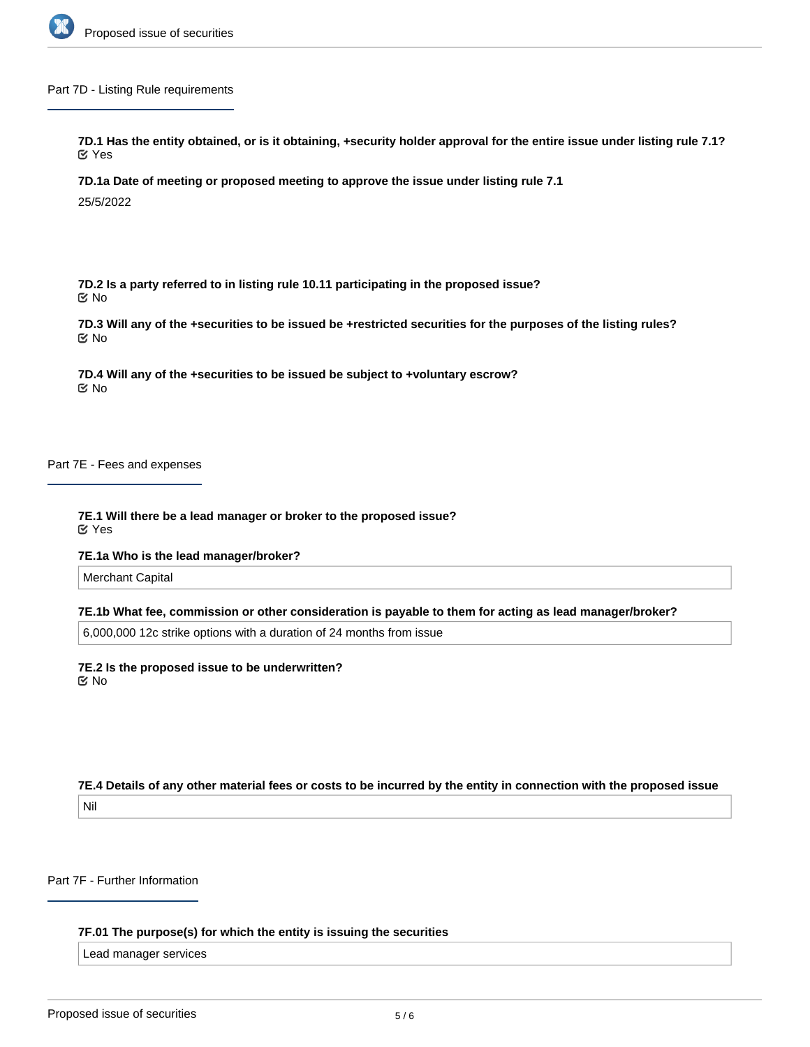

### Part 7D - Listing Rule requirements

**7D.1 Has the entity obtained, or is it obtaining, +security holder approval for the entire issue under listing rule 7.1?** Yes

**7D.1a Date of meeting or proposed meeting to approve the issue under listing rule 7.1**

25/5/2022

**7D.2 Is a party referred to in listing rule 10.11 participating in the proposed issue?** No

**7D.3 Will any of the +securities to be issued be +restricted securities for the purposes of the listing rules?** No

**7D.4 Will any of the +securities to be issued be subject to +voluntary escrow?** No

Part 7E - Fees and expenses

**7E.1 Will there be a lead manager or broker to the proposed issue?** Yes

**7E.1a Who is the lead manager/broker?**

Merchant Capital

**7E.1b What fee, commission or other consideration is payable to them for acting as lead manager/broker?**

6,000,000 12c strike options with a duration of 24 months from issue

**7E.2 Is the proposed issue to be underwritten?** No

**7E.4 Details of any other material fees or costs to be incurred by the entity in connection with the proposed issue** Nil

Part 7F - Further Information

**7F.01 The purpose(s) for which the entity is issuing the securities**

Lead manager services

**7F.1 Will the entity be changing its dividend/distribution policy if the proposed issue proceeds?**